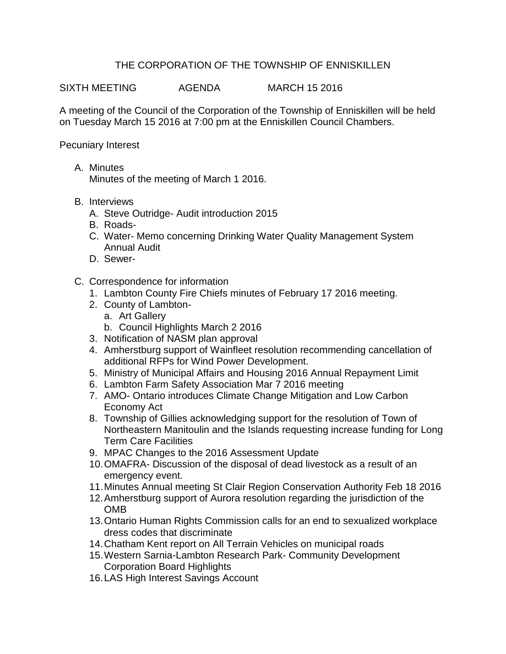## THE CORPORATION OF THE TOWNSHIP OF ENNISKILLEN

SIXTH MEETING AGENDA MARCH 15 2016

A meeting of the Council of the Corporation of the Township of Enniskillen will be held on Tuesday March 15 2016 at 7:00 pm at the Enniskillen Council Chambers.

Pecuniary Interest

A. Minutes

Minutes of the meeting of March 1 2016.

- B. Interviews
	- A. Steve Outridge- Audit introduction 2015
	- B. Roads-
	- C. Water- Memo concerning Drinking Water Quality Management System Annual Audit
	- D. Sewer-
- C. Correspondence for information
	- 1. Lambton County Fire Chiefs minutes of February 17 2016 meeting.
	- 2. County of Lambton
		- a. Art Gallery
		- b. Council Highlights March 2 2016
	- 3. Notification of NASM plan approval
	- 4. Amherstburg support of Wainfleet resolution recommending cancellation of additional RFPs for Wind Power Development.
	- 5. Ministry of Municipal Affairs and Housing 2016 Annual Repayment Limit
	- 6. Lambton Farm Safety Association Mar 7 2016 meeting
	- 7. AMO- Ontario introduces Climate Change Mitigation and Low Carbon Economy Act
	- 8. Township of Gillies acknowledging support for the resolution of Town of Northeastern Manitoulin and the Islands requesting increase funding for Long Term Care Facilities
	- 9. MPAC Changes to the 2016 Assessment Update
	- 10.OMAFRA- Discussion of the disposal of dead livestock as a result of an emergency event.
	- 11.Minutes Annual meeting St Clair Region Conservation Authority Feb 18 2016
	- 12.Amherstburg support of Aurora resolution regarding the jurisdiction of the OMB
	- 13.Ontario Human Rights Commission calls for an end to sexualized workplace dress codes that discriminate
	- 14.Chatham Kent report on All Terrain Vehicles on municipal roads
	- 15.Western Sarnia-Lambton Research Park- Community Development Corporation Board Highlights
	- 16.LAS High Interest Savings Account